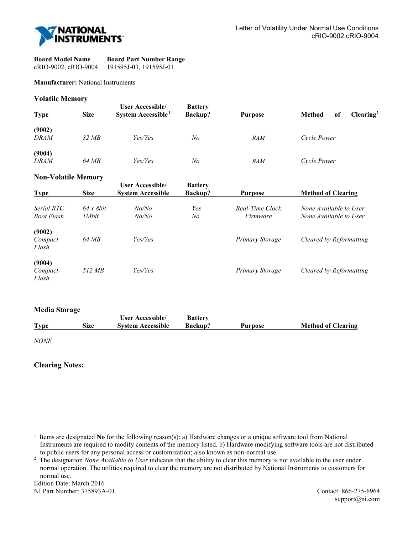

| <b>Board Model Name</b> | <b>Board Part Number Range</b> |
|-------------------------|--------------------------------|
| cRIO-9002, cRIO-9004    | 191595J-03, 191595J-01         |

#### **Manufacturer:** National Instruments

### **Volatile Memory**

| <b>Type</b>           | <b>Size</b> | User Accessible/<br>System Accessible <sup>1</sup> | <b>Battery</b><br><b>Backup?</b> | <b>Purpose</b> | <b>Method</b><br>of | Clearing <sup>2</sup> |
|-----------------------|-------------|----------------------------------------------------|----------------------------------|----------------|---------------------|-----------------------|
| (9002)<br><b>DRAM</b> | 32MB        | Yes/Yes                                            | No                               | <b>RAM</b>     | Cycle Power         |                       |
| (9004)<br><b>DRAM</b> | 64 MB       | Yes/Yes                                            | No                               | <b>RAM</b>     | Cycle Power         |                       |

## **Non-Volatile Memory**

| <b>Type</b>                     | <b>Size</b>                | <b>User Accessible/</b><br><b>System Accessible</b> | <b>Battery</b><br>Backup? | <b>Purpose</b>              | <b>Method of Clearing</b>                        |
|---------------------------------|----------------------------|-----------------------------------------------------|---------------------------|-----------------------------|--------------------------------------------------|
| Serial RTC<br><b>Boot Flash</b> | $64 \times 8bit$<br>1 Mbit | No/No<br>No/No                                      | Yes<br>No                 | Real-Time Clock<br>Firmware | None Available to User<br>None Available to User |
| (9002)<br>Compact<br>Flash      | 64 MB                      | Yes/Yes                                             |                           | Primary Storage             | Cleared by Reformatting                          |
| (9004)<br>Compact<br>Flash      | 512 MB                     | Yes/Yes                                             |                           | Primary Storage             | Cleared by Reformatting                          |

#### **Media Storage**

|             |      | User Accessible/         | <b>Battery</b> |         |                           |
|-------------|------|--------------------------|----------------|---------|---------------------------|
| <b>Type</b> | Size | <b>System Accessible</b> | <b>Backup?</b> | Purpose | <b>Method of Clearing</b> |
|             |      |                          |                |         |                           |

*NONE* 

l

## **Clearing Notes:**

Edition Date: March 2016

<span id="page-0-0"></span><sup>1</sup> Items are designated **No** for the following reason(s): a) Hardware changes or a unique software tool from National Instruments are required to modify contents of the memory listed. b) Hardware modifying software tools are not distributed to public users for any personal access or customization; also known as non-normal use.

<span id="page-0-1"></span><sup>2</sup> The designation *None Available to User* indicates that the ability to clear this memory is not available to the user under normal operation. The utilities required to clear the memory are not distributed by National Instruments to customers for normal use.